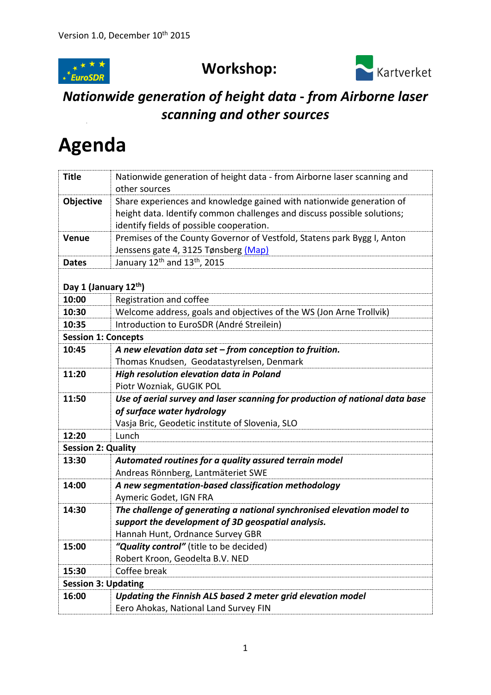

## **Workshop:**



## *Nationwide generation of height data* **-** *from Airborne laser scanning and other sources*

## **Agenda**

| <b>Title</b>               | Nationwide generation of height data - from Airborne laser scanning and                              |  |
|----------------------------|------------------------------------------------------------------------------------------------------|--|
|                            | other sources                                                                                        |  |
| Objective                  | Share experiences and knowledge gained with nationwide generation of                                 |  |
|                            | height data. Identify common challenges and discuss possible solutions;                              |  |
|                            | identify fields of possible cooperation.                                                             |  |
| Venue                      | Premises of the County Governor of Vestfold, Statens park Bygg I, Anton                              |  |
|                            | Jenssens gate 4, 3125 Tønsberg (Map)                                                                 |  |
| <b>Dates</b>               | January 12 <sup>th</sup> and 13 <sup>th</sup> , 2015                                                 |  |
|                            |                                                                                                      |  |
| Day 1 (January 12th)       |                                                                                                      |  |
| 10:00                      | Registration and coffee                                                                              |  |
| 10:30                      | Welcome address, goals and objectives of the WS (Jon Arne Trollvik)                                  |  |
| 10:35                      | Introduction to EuroSDR (André Streilein)                                                            |  |
| <b>Session 1: Concepts</b> |                                                                                                      |  |
| 10:45                      | A new elevation data set $-$ from conception to fruition.                                            |  |
|                            | Thomas Knudsen, Geodatastyrelsen, Denmark                                                            |  |
| 11:20                      | High resolution elevation data in Poland                                                             |  |
|                            | Piotr Wozniak, GUGIK POL                                                                             |  |
|                            |                                                                                                      |  |
| 11:50                      | Use of aerial survey and laser scanning for production of national data base                         |  |
|                            | of surface water hydrology                                                                           |  |
|                            | Vasja Bric, Geodetic institute of Slovenia, SLO                                                      |  |
| 12:20                      | Lunch                                                                                                |  |
| <b>Session 2: Quality</b>  |                                                                                                      |  |
| 13:30                      | Automated routines for a quality assured terrain model                                               |  |
|                            | Andreas Rönnberg, Lantmäteriet SWE                                                                   |  |
| 14:00                      | A new segmentation-based classification methodology                                                  |  |
|                            | Aymeric Godet, IGN FRA                                                                               |  |
| 14:30                      | The challenge of generating a national synchronised elevation model to                               |  |
|                            | support the development of 3D geospatial analysis.                                                   |  |
|                            | Hannah Hunt, Ordnance Survey GBR                                                                     |  |
| 15:00                      | "Quality control" (title to be decided)                                                              |  |
|                            | Robert Kroon, Geodelta B.V. NED                                                                      |  |
| 15:30                      | Coffee break                                                                                         |  |
| <b>Session 3: Updating</b> |                                                                                                      |  |
| 16:00                      | Updating the Finnish ALS based 2 meter grid elevation model<br>Eero Ahokas, National Land Survey FIN |  |